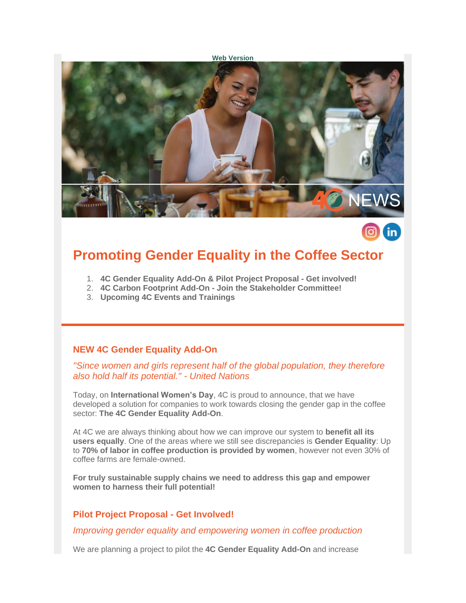#### **[Web Version](https://amxe.net/io0aec4n-5er6z3n6-cmyrtvqa-l9z)**



# **Promoting Gender Equality in the Coffee Sector**

- 1. **4C Gender Equality Add-On & Pilot Project Proposal - Get involved!**
- 2. **4C Carbon Footprint Add-On - Join the Stakeholder Committee!**
- 3. **Upcoming 4C Events and Trainings**

#### **NEW 4C Gender Equality Add-On**

*"Since women and girls represent half of the global population, they therefore also hold half its potential." - United Nations*

Today, on **International Women's Day**, 4C is proud to announce, that we have developed a solution for companies to work towards closing the gender gap in the coffee sector: **The 4C Gender Equality Add-On**.

At 4C we are always thinking about how we can improve our system to **benefit all its users equally**. One of the areas where we still see discrepancies is **Gender Equality**: Up to **70% of labor in coffee production is provided by women**, however not even 30% of coffee farms are female-owned.

**For truly sustainable supply chains we need to address this gap and empower women to harness their full potential!**

#### **Pilot Project Proposal - Get Involved!**

*Improving gender equality and empowering women in coffee production*

We are planning a project to pilot the **4C Gender Equality Add-On** and increase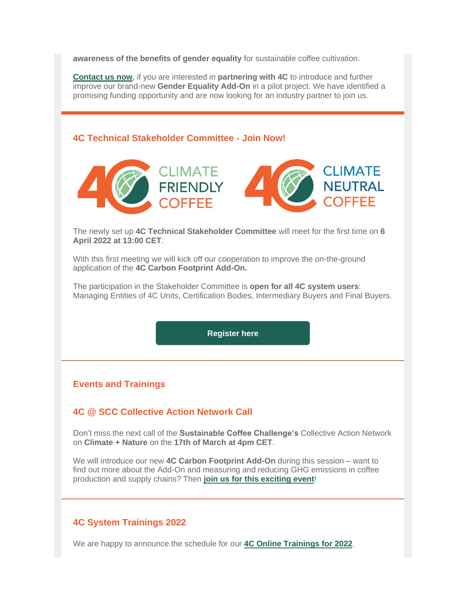**awareness of the benefits of gender equality** for sustainable coffee cultivation.

**[Contact us now](mailto:info@4c-services.org)**, if you are interested in **partnering with 4C** to introduce and further improve our brand-new **Gender Equality Add-On** in a pilot project. We have identified a promising funding opportunity and are now looking for an industry partner to join us.

### **4C Technical Stakeholder Committee - Join Now!**



The newly set up **4C Technical Stakeholder Committee** will meet for the first time on **6 April 2022 at 13:00 CET**.

With this first meeting we will kick off our cooperation to improve the on-the-ground application of the **4C Carbon Footprint Add-On.**

The participation in the Stakeholder Committee is **open for all 4C system users**: Managing Entities of 4C Units, Certification Bodies, Intermediary Buyers and Final Buyers.

**[Register here](https://amxe.net/io0aec4n-5er6z3n6-ur2lgk8y-5p9)**

# **Events and Trainings**

# **4C @ SCC Collective Action Network Call**

Don't miss the next call of the **Sustainable Coffee Challenge's** Collective Action Network on **Climate + Nature** on the **17th of March at 4pm CET**.

We will introduce our new **4C Carbon Footprint Add-On** during this session – want to find out more about the Add-On and measuring and reducing GHG emissions in coffee production and supply chains? Then **[join us for this exciting event](https://amxe.net/io0aec4n-5er6z3n6-y8cxwo83-1bx5)**!

### **4C System Trainings 2022**

We are happy to announce the schedule for our **[4C Online Trainings for 2022](https://amxe.net/io0aec4n-5er6z3n6-3u9q180y-81a)**.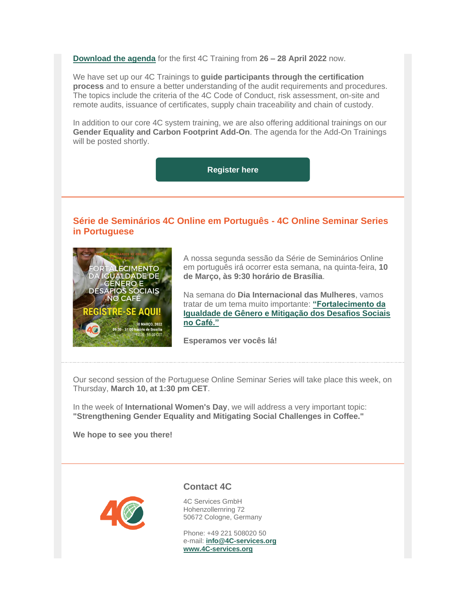**[Download the agenda](https://amxe.net/io0aec4n-5er6z3n6-79lb170z-zb5)** for the first 4C Training from **26 – 28 April 2022** now.

We have set up our 4C Trainings to **guide participants through the certification process** and to ensure a better understanding of the audit requirements and procedures. The topics include the criteria of the 4C Code of Conduct, risk assessment, on-site and remote audits, issuance of certificates, supply chain traceability and chain of custody.

In addition to our core 4C system training, we are also offering additional trainings on our **Gender Equality and Carbon Footprint Add-On**. The agenda for the Add-On Trainings will be posted shortly.

**[Register here](https://amxe.net/io0aec4n-5er6z3n6-arvpdjhe-1462)**

# **Série de Seminários 4C Online em Português - 4C Online Seminar Series in Portuguese**



A nossa segunda sessão da Série de Seminários Online em português irá ocorrer esta semana, na quinta-feira, **10 de Março, às 9:30 horário de Brasília**.

Na semana do **Dia Internacional das Mulheres**, vamos tratar de um tema muito importante: **["Fortalecimento da](https://amxe.net/io0aec4n-5er6z3n6-ia59j4s2-1dqq)  [Igualdade de Gênero e Mitigação dos Desafios Sociais](https://amxe.net/io0aec4n-5er6z3n6-ia59j4s2-1dqq)  [no Café."](https://amxe.net/io0aec4n-5er6z3n6-ia59j4s2-1dqq)**

**Esperamos ver vocês lá!**

Our second session of the Portuguese Online Seminar Series will take place this week, on Thursday, **March 10, at 1:30 pm CET**.

In the week of **International Women's Day**, we will address a very important topic: **"Strengthening Gender Equality and Mitigating Social Challenges in Coffee."**

**We hope to see you there!**



**Contact 4C**

4C Services GmbH Hohenzollernring 72 50672 Cologne, Germany

Phone: +49 221 508020 50 e-mail: **[info@4C-services.org](mailto:info@4c-services.org) [www.4C-services.org](https://amxe.net/io0aec4n-5er6z3n6-lwdfsudf-180s)**